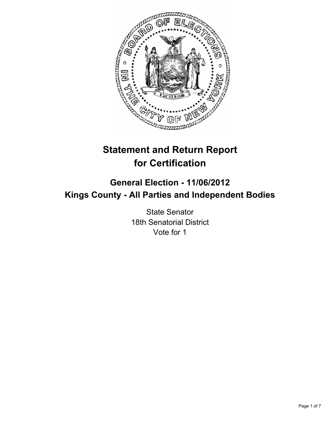

# **Statement and Return Report for Certification**

## **General Election - 11/06/2012 Kings County - All Parties and Independent Bodies**

State Senator 18th Senatorial District Vote for 1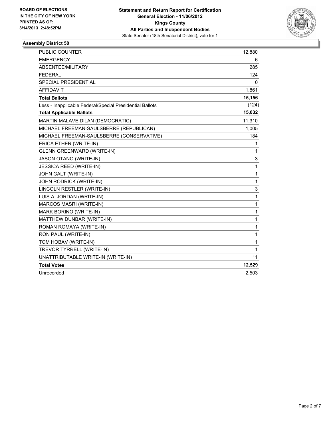

| <b>PUBLIC COUNTER</b>                                    | 12,880 |
|----------------------------------------------------------|--------|
| <b>EMERGENCY</b>                                         | 6      |
| ABSENTEE/MILITARY                                        | 285    |
| <b>FEDERAL</b>                                           | 124    |
| <b>SPECIAL PRESIDENTIAL</b>                              | 0      |
| <b>AFFIDAVIT</b>                                         | 1,861  |
| <b>Total Ballots</b>                                     | 15,156 |
| Less - Inapplicable Federal/Special Presidential Ballots | (124)  |
| <b>Total Applicable Ballots</b>                          | 15,032 |
| MARTIN MALAVE DILAN (DEMOCRATIC)                         | 11,310 |
| MICHAEL FREEMAN-SAULSBERRE (REPUBLICAN)                  | 1,005  |
| MICHAEL FREEMAN-SAULSBERRE (CONSERVATIVE)                | 184    |
| ERICA ETHER (WRITE-IN)                                   | 1      |
| <b>GLENN GREENWARD (WRITE-IN)</b>                        | 1      |
| <b>JASON OTANO (WRITE-IN)</b>                            | 3      |
| <b>JESSICA REED (WRITE-IN)</b>                           | 1      |
| JOHN GALT (WRITE-IN)                                     | 1      |
| JOHN RODRICK (WRITE-IN)                                  | 1      |
| LINCOLN RESTLER (WRITE-IN)                               | 3      |
| LUIS A. JORDAN (WRITE-IN)                                | 1      |
| MARCOS MASRI (WRITE-IN)                                  | 1      |
| MARK BORINO (WRITE-IN)                                   | 1      |
| MATTHEW DUNBAR (WRITE-IN)                                | 1      |
| ROMAN ROMAYA (WRITE-IN)                                  | 1      |
| RON PAUL (WRITE-IN)                                      | 1      |
| TOM HOBAV (WRITE-IN)                                     | 1      |
| TREVOR TYRRELL (WRITE-IN)                                | 1      |
| UNATTRIBUTABLE WRITE-IN (WRITE-IN)                       | 11     |
| <b>Total Votes</b>                                       | 12,529 |
| Unrecorded                                               | 2,503  |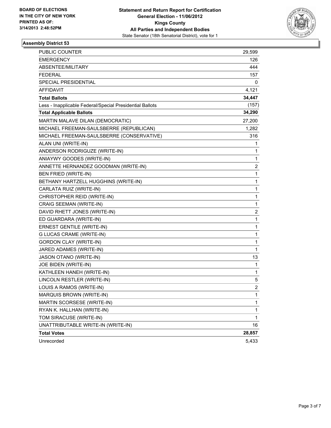

| <b>PUBLIC COUNTER</b>                                    | 29,599         |
|----------------------------------------------------------|----------------|
| <b>EMERGENCY</b>                                         | 126            |
| ABSENTEE/MILITARY                                        | 444            |
| <b>FEDERAL</b>                                           | 157            |
| SPECIAL PRESIDENTIAL                                     | 0              |
| <b>AFFIDAVIT</b>                                         | 4,121          |
| <b>Total Ballots</b>                                     | 34,447         |
| Less - Inapplicable Federal/Special Presidential Ballots | (157)          |
| <b>Total Applicable Ballots</b>                          | 34,290         |
| MARTIN MALAVE DILAN (DEMOCRATIC)                         | 27,200         |
| MICHAEL FREEMAN-SAULSBERRE (REPUBLICAN)                  | 1,282          |
| MICHAEL FREEMAN-SAULSBERRE (CONSERVATIVE)                | 316            |
| ALAN UNI (WRITE-IN)                                      | 1              |
| ANDERSON RODRIGUZE (WRITE-IN)                            | 1              |
| ANIAYWY GOODES (WRITE-IN)                                | 1              |
| ANNETTE HERNANDEZ GOODMAN (WRITE-IN)                     | $\overline{c}$ |
| BEN FRIED (WRITE-IN)                                     | 1              |
| BETHANY HARTZELL HUGGHINS (WRITE-IN)                     | 1              |
| CARLATA RUIZ (WRITE-IN)                                  | 1              |
| CHRISTOPHER REID (WRITE-IN)                              | 1              |
| CRAIG SEEMAN (WRITE-IN)                                  | 1              |
| DAVID RHETT JONES (WRITE-IN)                             | 2              |
| ED GUARDARA (WRITE-IN)                                   | 1              |
| ERNEST GENTILE (WRITE-IN)                                | 1              |
| G LUCAS CRAME (WRITE-IN)                                 | 1              |
| <b>GORDON CLAY (WRITE-IN)</b>                            | 1              |
| JARED ADAMES (WRITE-IN)                                  | $\mathbf{1}$   |
| JASON OTANO (WRITE-IN)                                   | 13             |
| JOE BIDEN (WRITE-IN)                                     | 1              |
| KATHLEEN HANEH (WRITE-IN)                                | 1              |
| LINCOLN RESTLER (WRITE-IN)                               | 5              |
| LOUIS A RAMOS (WRITE-IN)                                 | $\overline{2}$ |
| MARQUIS BROWN (WRITE-IN)                                 | 1              |
| MARTIN SCORSESE (WRITE-IN)                               | 1              |
| RYAN K. HALLHAN (WRITE-IN)                               | 1              |
| TOM SIRACUSE (WRITE-IN)                                  | $\mathbf{1}$   |
| UNATTRIBUTABLE WRITE-IN (WRITE-IN)                       | 16             |
| <b>Total Votes</b>                                       | 28,857         |
| Unrecorded                                               | 5,433          |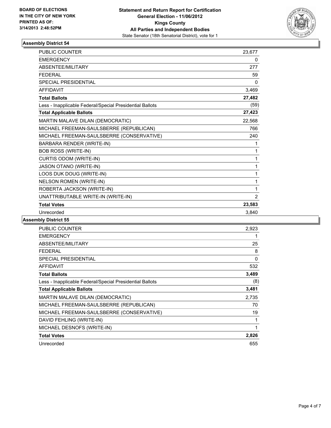

| PUBLIC COUNTER                                           | 23,677         |
|----------------------------------------------------------|----------------|
| <b>EMERGENCY</b>                                         | 0              |
| <b>ABSENTEE/MILITARY</b>                                 | 277            |
| <b>FFDFRAL</b>                                           | 59             |
| <b>SPECIAL PRESIDENTIAL</b>                              | $\Omega$       |
| <b>AFFIDAVIT</b>                                         | 3,469          |
| <b>Total Ballots</b>                                     | 27,482         |
| Less - Inapplicable Federal/Special Presidential Ballots | (59)           |
| <b>Total Applicable Ballots</b>                          | 27,423         |
| MARTIN MALAVE DILAN (DEMOCRATIC)                         | 22,568         |
| MICHAEL FREEMAN-SAULSBERRE (REPUBLICAN)                  | 766            |
| MICHAEL FREEMAN-SAULSBERRE (CONSERVATIVE)                | 240            |
| BARBARA RENDER (WRITE-IN)                                | 1              |
| <b>BOB ROSS (WRITE-IN)</b>                               | 1              |
| CURTIS ODOM (WRITE-IN)                                   | 1              |
| JASON OTANO (WRITE-IN)                                   | 1              |
| LOOS DUK DOUG (WRITE-IN)                                 | 1              |
| <b>NELSON ROMEN (WRITE-IN)</b>                           | 1              |
| ROBERTA JACKSON (WRITE-IN)                               | 1              |
| UNATTRIBUTABLE WRITE-IN (WRITE-IN)                       | $\overline{2}$ |
| <b>Total Votes</b>                                       | 23,583         |
| Unrecorded                                               | 3.840          |

| <b>PUBLIC COUNTER</b>                                    | 2,923       |
|----------------------------------------------------------|-------------|
| <b>EMERGENCY</b>                                         |             |
| ABSENTEE/MILITARY                                        | 25          |
| <b>FEDERAL</b>                                           | 8           |
| <b>SPECIAL PRESIDENTIAL</b>                              | $\mathbf 0$ |
| <b>AFFIDAVIT</b>                                         | 532         |
| <b>Total Ballots</b>                                     | 3,489       |
| Less - Inapplicable Federal/Special Presidential Ballots | (8)         |
| <b>Total Applicable Ballots</b>                          | 3,481       |
| MARTIN MALAVE DILAN (DEMOCRATIC)                         | 2,735       |
| MICHAEL FREEMAN-SAULSBERRE (REPUBLICAN)                  | 70          |
| MICHAEL FREEMAN-SAULSBERRE (CONSERVATIVE)                | 19          |
| DAVID FEHLING (WRITE-IN)                                 | 1           |
| MICHAEL DESNOFS (WRITE-IN)                               | 1           |
| <b>Total Votes</b>                                       | 2,826       |
| Unrecorded                                               | 655         |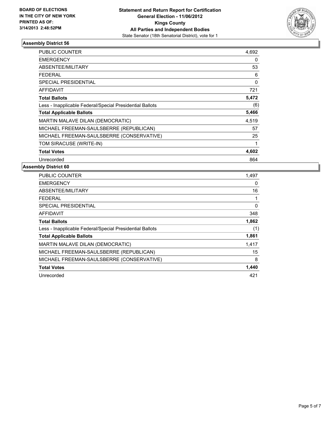

| <b>PUBLIC COUNTER</b>                                    | 4,692 |
|----------------------------------------------------------|-------|
| <b>EMERGENCY</b>                                         | 0     |
| <b>ABSENTEE/MILITARY</b>                                 | 53    |
| <b>FEDERAL</b>                                           | 6     |
| <b>SPECIAL PRESIDENTIAL</b>                              | 0     |
| <b>AFFIDAVIT</b>                                         | 721   |
| <b>Total Ballots</b>                                     | 5,472 |
| Less - Inapplicable Federal/Special Presidential Ballots | (6)   |
| <b>Total Applicable Ballots</b>                          | 5,466 |
| <b>MARTIN MALAVE DILAN (DEMOCRATIC)</b>                  | 4,519 |
| MICHAEL FREEMAN-SAULSBERRE (REPUBLICAN)                  | 57    |
| MICHAEL FREEMAN-SAULSBERRE (CONSERVATIVE)                | 25    |
| TOM SIRACUSE (WRITE-IN)                                  | 1     |
| <b>Total Votes</b>                                       | 4,602 |
| Unrecorded                                               | 864   |

| <b>PUBLIC COUNTER</b>                                    | 1,497 |
|----------------------------------------------------------|-------|
| <b>EMERGENCY</b>                                         | 0     |
| ABSENTEE/MILITARY                                        | 16    |
| <b>FEDERAL</b>                                           | 1     |
| <b>SPECIAL PRESIDENTIAL</b>                              | 0     |
| AFFIDAVIT                                                | 348   |
| <b>Total Ballots</b>                                     | 1,862 |
| Less - Inapplicable Federal/Special Presidential Ballots | (1)   |
| <b>Total Applicable Ballots</b>                          | 1,861 |
| MARTIN MALAVE DILAN (DEMOCRATIC)                         | 1,417 |
| MICHAEL FREEMAN-SAULSBERRE (REPUBLICAN)                  | 15    |
| MICHAEL FREEMAN-SAULSBERRE (CONSERVATIVE)                | 8     |
| <b>Total Votes</b>                                       | 1,440 |
| Unrecorded                                               | 421   |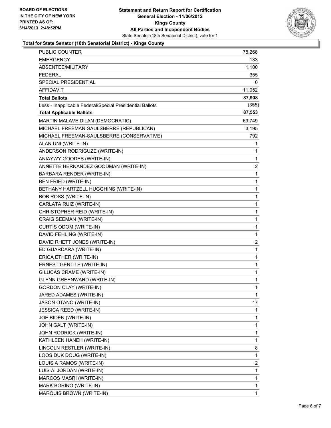

### **Total for State Senator (18th Senatorial District) - Kings County**

| <b>EMERGENCY</b><br>ABSENTEE/MILITARY<br><b>FEDERAL</b><br>SPECIAL PRESIDENTIAL<br><b>AFFIDAVIT</b><br><b>Total Ballots</b><br>Less - Inapplicable Federal/Special Presidential Ballots<br><b>Total Applicable Ballots</b><br>MARTIN MALAVE DILAN (DEMOCRATIC)<br>MICHAEL FREEMAN-SAULSBERRE (REPUBLICAN)<br>MICHAEL FREEMAN-SAULSBERRE (CONSERVATIVE)<br>ALAN UNI (WRITE-IN)<br>ANDERSON RODRIGUZE (WRITE-IN)<br>ANIAYWY GOODES (WRITE-IN)<br>ANNETTE HERNANDEZ GOODMAN (WRITE-IN)<br>BARBARA RENDER (WRITE-IN)<br>BEN FRIED (WRITE-IN)<br>BETHANY HARTZELL HUGGHINS (WRITE-IN)<br><b>BOB ROSS (WRITE-IN)</b><br>CARLATA RUIZ (WRITE-IN)<br>CHRISTOPHER REID (WRITE-IN)<br>CRAIG SEEMAN (WRITE-IN)<br>CURTIS ODOM (WRITE-IN)<br>DAVID FEHLING (WRITE-IN)<br>DAVID RHETT JONES (WRITE-IN)<br>ED GUARDARA (WRITE-IN)<br>ERICA ETHER (WRITE-IN)<br>ERNEST GENTILE (WRITE-IN)<br><b>G LUCAS CRAME (WRITE-IN)</b><br><b>GLENN GREENWARD (WRITE-IN)</b><br><b>GORDON CLAY (WRITE-IN)</b><br>JARED ADAMES (WRITE-IN)<br>JASON OTANO (WRITE-IN)<br><b>JESSICA REED (WRITE-IN)</b><br>JOE BIDEN (WRITE-IN)<br>JOHN GALT (WRITE-IN)<br>JOHN RODRICK (WRITE-IN)<br>KATHLEEN HANEH (WRITE-IN)<br>LINCOLN RESTLER (WRITE-IN)<br>LOOS DUK DOUG (WRITE-IN)<br>LOUIS A RAMOS (WRITE-IN)<br>LUIS A. JORDAN (WRITE-IN)<br>MARCOS MASRI (WRITE-IN)<br>MARK BORINO (WRITE-IN) | PUBLIC COUNTER           | 75,268                  |
|------------------------------------------------------------------------------------------------------------------------------------------------------------------------------------------------------------------------------------------------------------------------------------------------------------------------------------------------------------------------------------------------------------------------------------------------------------------------------------------------------------------------------------------------------------------------------------------------------------------------------------------------------------------------------------------------------------------------------------------------------------------------------------------------------------------------------------------------------------------------------------------------------------------------------------------------------------------------------------------------------------------------------------------------------------------------------------------------------------------------------------------------------------------------------------------------------------------------------------------------------------------------------------------------------------------------------------------------------------|--------------------------|-------------------------|
|                                                                                                                                                                                                                                                                                                                                                                                                                                                                                                                                                                                                                                                                                                                                                                                                                                                                                                                                                                                                                                                                                                                                                                                                                                                                                                                                                            |                          | 133.                    |
|                                                                                                                                                                                                                                                                                                                                                                                                                                                                                                                                                                                                                                                                                                                                                                                                                                                                                                                                                                                                                                                                                                                                                                                                                                                                                                                                                            |                          | 1,100                   |
|                                                                                                                                                                                                                                                                                                                                                                                                                                                                                                                                                                                                                                                                                                                                                                                                                                                                                                                                                                                                                                                                                                                                                                                                                                                                                                                                                            |                          | 355                     |
|                                                                                                                                                                                                                                                                                                                                                                                                                                                                                                                                                                                                                                                                                                                                                                                                                                                                                                                                                                                                                                                                                                                                                                                                                                                                                                                                                            |                          | 0                       |
|                                                                                                                                                                                                                                                                                                                                                                                                                                                                                                                                                                                                                                                                                                                                                                                                                                                                                                                                                                                                                                                                                                                                                                                                                                                                                                                                                            |                          | 11,052                  |
|                                                                                                                                                                                                                                                                                                                                                                                                                                                                                                                                                                                                                                                                                                                                                                                                                                                                                                                                                                                                                                                                                                                                                                                                                                                                                                                                                            |                          | 87,908                  |
|                                                                                                                                                                                                                                                                                                                                                                                                                                                                                                                                                                                                                                                                                                                                                                                                                                                                                                                                                                                                                                                                                                                                                                                                                                                                                                                                                            |                          | (355)                   |
|                                                                                                                                                                                                                                                                                                                                                                                                                                                                                                                                                                                                                                                                                                                                                                                                                                                                                                                                                                                                                                                                                                                                                                                                                                                                                                                                                            |                          | 87,553                  |
|                                                                                                                                                                                                                                                                                                                                                                                                                                                                                                                                                                                                                                                                                                                                                                                                                                                                                                                                                                                                                                                                                                                                                                                                                                                                                                                                                            |                          | 69,749                  |
|                                                                                                                                                                                                                                                                                                                                                                                                                                                                                                                                                                                                                                                                                                                                                                                                                                                                                                                                                                                                                                                                                                                                                                                                                                                                                                                                                            |                          | 3,195                   |
|                                                                                                                                                                                                                                                                                                                                                                                                                                                                                                                                                                                                                                                                                                                                                                                                                                                                                                                                                                                                                                                                                                                                                                                                                                                                                                                                                            |                          | 792                     |
|                                                                                                                                                                                                                                                                                                                                                                                                                                                                                                                                                                                                                                                                                                                                                                                                                                                                                                                                                                                                                                                                                                                                                                                                                                                                                                                                                            |                          | 1                       |
|                                                                                                                                                                                                                                                                                                                                                                                                                                                                                                                                                                                                                                                                                                                                                                                                                                                                                                                                                                                                                                                                                                                                                                                                                                                                                                                                                            |                          | 1                       |
|                                                                                                                                                                                                                                                                                                                                                                                                                                                                                                                                                                                                                                                                                                                                                                                                                                                                                                                                                                                                                                                                                                                                                                                                                                                                                                                                                            |                          | 1                       |
|                                                                                                                                                                                                                                                                                                                                                                                                                                                                                                                                                                                                                                                                                                                                                                                                                                                                                                                                                                                                                                                                                                                                                                                                                                                                                                                                                            |                          | 2                       |
|                                                                                                                                                                                                                                                                                                                                                                                                                                                                                                                                                                                                                                                                                                                                                                                                                                                                                                                                                                                                                                                                                                                                                                                                                                                                                                                                                            |                          | 1                       |
|                                                                                                                                                                                                                                                                                                                                                                                                                                                                                                                                                                                                                                                                                                                                                                                                                                                                                                                                                                                                                                                                                                                                                                                                                                                                                                                                                            |                          | 1                       |
|                                                                                                                                                                                                                                                                                                                                                                                                                                                                                                                                                                                                                                                                                                                                                                                                                                                                                                                                                                                                                                                                                                                                                                                                                                                                                                                                                            |                          | 1                       |
|                                                                                                                                                                                                                                                                                                                                                                                                                                                                                                                                                                                                                                                                                                                                                                                                                                                                                                                                                                                                                                                                                                                                                                                                                                                                                                                                                            |                          | 1                       |
|                                                                                                                                                                                                                                                                                                                                                                                                                                                                                                                                                                                                                                                                                                                                                                                                                                                                                                                                                                                                                                                                                                                                                                                                                                                                                                                                                            |                          | 1                       |
|                                                                                                                                                                                                                                                                                                                                                                                                                                                                                                                                                                                                                                                                                                                                                                                                                                                                                                                                                                                                                                                                                                                                                                                                                                                                                                                                                            |                          | 1                       |
|                                                                                                                                                                                                                                                                                                                                                                                                                                                                                                                                                                                                                                                                                                                                                                                                                                                                                                                                                                                                                                                                                                                                                                                                                                                                                                                                                            |                          | 1                       |
|                                                                                                                                                                                                                                                                                                                                                                                                                                                                                                                                                                                                                                                                                                                                                                                                                                                                                                                                                                                                                                                                                                                                                                                                                                                                                                                                                            |                          | 1                       |
|                                                                                                                                                                                                                                                                                                                                                                                                                                                                                                                                                                                                                                                                                                                                                                                                                                                                                                                                                                                                                                                                                                                                                                                                                                                                                                                                                            |                          | 1                       |
|                                                                                                                                                                                                                                                                                                                                                                                                                                                                                                                                                                                                                                                                                                                                                                                                                                                                                                                                                                                                                                                                                                                                                                                                                                                                                                                                                            |                          | $\overline{\mathbf{c}}$ |
|                                                                                                                                                                                                                                                                                                                                                                                                                                                                                                                                                                                                                                                                                                                                                                                                                                                                                                                                                                                                                                                                                                                                                                                                                                                                                                                                                            |                          | 1                       |
|                                                                                                                                                                                                                                                                                                                                                                                                                                                                                                                                                                                                                                                                                                                                                                                                                                                                                                                                                                                                                                                                                                                                                                                                                                                                                                                                                            |                          | 1                       |
|                                                                                                                                                                                                                                                                                                                                                                                                                                                                                                                                                                                                                                                                                                                                                                                                                                                                                                                                                                                                                                                                                                                                                                                                                                                                                                                                                            |                          | 1                       |
|                                                                                                                                                                                                                                                                                                                                                                                                                                                                                                                                                                                                                                                                                                                                                                                                                                                                                                                                                                                                                                                                                                                                                                                                                                                                                                                                                            |                          | 1                       |
|                                                                                                                                                                                                                                                                                                                                                                                                                                                                                                                                                                                                                                                                                                                                                                                                                                                                                                                                                                                                                                                                                                                                                                                                                                                                                                                                                            |                          | 1                       |
|                                                                                                                                                                                                                                                                                                                                                                                                                                                                                                                                                                                                                                                                                                                                                                                                                                                                                                                                                                                                                                                                                                                                                                                                                                                                                                                                                            |                          | $\mathbf{1}$            |
|                                                                                                                                                                                                                                                                                                                                                                                                                                                                                                                                                                                                                                                                                                                                                                                                                                                                                                                                                                                                                                                                                                                                                                                                                                                                                                                                                            |                          | 1                       |
|                                                                                                                                                                                                                                                                                                                                                                                                                                                                                                                                                                                                                                                                                                                                                                                                                                                                                                                                                                                                                                                                                                                                                                                                                                                                                                                                                            |                          | 17                      |
|                                                                                                                                                                                                                                                                                                                                                                                                                                                                                                                                                                                                                                                                                                                                                                                                                                                                                                                                                                                                                                                                                                                                                                                                                                                                                                                                                            |                          | 1                       |
|                                                                                                                                                                                                                                                                                                                                                                                                                                                                                                                                                                                                                                                                                                                                                                                                                                                                                                                                                                                                                                                                                                                                                                                                                                                                                                                                                            |                          | 1                       |
|                                                                                                                                                                                                                                                                                                                                                                                                                                                                                                                                                                                                                                                                                                                                                                                                                                                                                                                                                                                                                                                                                                                                                                                                                                                                                                                                                            |                          | 1                       |
|                                                                                                                                                                                                                                                                                                                                                                                                                                                                                                                                                                                                                                                                                                                                                                                                                                                                                                                                                                                                                                                                                                                                                                                                                                                                                                                                                            |                          | 1                       |
|                                                                                                                                                                                                                                                                                                                                                                                                                                                                                                                                                                                                                                                                                                                                                                                                                                                                                                                                                                                                                                                                                                                                                                                                                                                                                                                                                            |                          | 1                       |
|                                                                                                                                                                                                                                                                                                                                                                                                                                                                                                                                                                                                                                                                                                                                                                                                                                                                                                                                                                                                                                                                                                                                                                                                                                                                                                                                                            |                          | 8                       |
|                                                                                                                                                                                                                                                                                                                                                                                                                                                                                                                                                                                                                                                                                                                                                                                                                                                                                                                                                                                                                                                                                                                                                                                                                                                                                                                                                            |                          | 1                       |
|                                                                                                                                                                                                                                                                                                                                                                                                                                                                                                                                                                                                                                                                                                                                                                                                                                                                                                                                                                                                                                                                                                                                                                                                                                                                                                                                                            |                          | 2                       |
|                                                                                                                                                                                                                                                                                                                                                                                                                                                                                                                                                                                                                                                                                                                                                                                                                                                                                                                                                                                                                                                                                                                                                                                                                                                                                                                                                            |                          | 1                       |
|                                                                                                                                                                                                                                                                                                                                                                                                                                                                                                                                                                                                                                                                                                                                                                                                                                                                                                                                                                                                                                                                                                                                                                                                                                                                                                                                                            |                          | 1                       |
|                                                                                                                                                                                                                                                                                                                                                                                                                                                                                                                                                                                                                                                                                                                                                                                                                                                                                                                                                                                                                                                                                                                                                                                                                                                                                                                                                            |                          | 1                       |
|                                                                                                                                                                                                                                                                                                                                                                                                                                                                                                                                                                                                                                                                                                                                                                                                                                                                                                                                                                                                                                                                                                                                                                                                                                                                                                                                                            | MARQUIS BROWN (WRITE-IN) | 1                       |